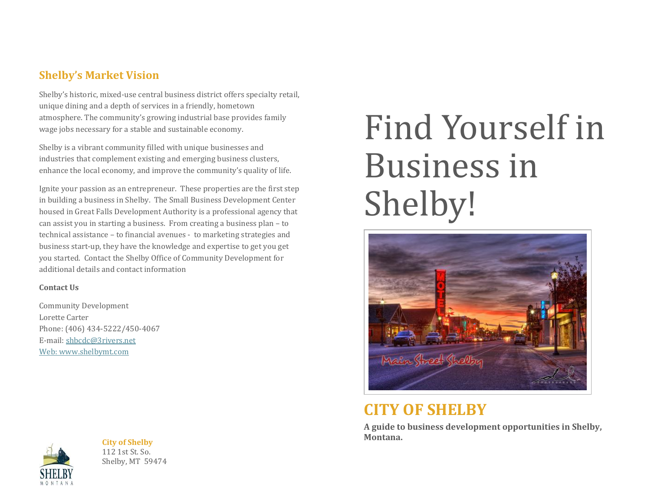### **Shelby's Market Vision**

Shelby's historic, mixed-use central business district offers specialty retail, unique dining and a depth of services in a friendly, hometown atmosphere. The community's growing industrial base provides family wage jobs necessary for a stable and sustainable economy.

Shelby is a vibrant community filled with unique businesses and industries that complement existing and emerging business clusters, enhance the local economy, and improve the community's quality of life.

Ignite your passion as an entrepreneur. These properties are the first step in building a business in Shelby. The Small Business Development Center housed in Great Falls Development Authority is a professional agency that can assist you in starting a business. From creating a business plan – to technical assistance – to financial avenues - to marketing strategies and business start-up, they have the knowledge and expertise to get you get you started. Contact the Shelby Office of Community Development for additional details and contact information

#### **Contact Us**

Community Development Lorette Carter Phone: (406) 434-5222/450-4067 E-mail[: shbcdc@3rivers.net](mailto:shbcdc@3rivers.net) Web: [www.shelbymt.com](http://www.shelbymt.com/)



**City of Shelby** 112 1st St. So. Shelby, MT 59474

# Find Yourself in Business in Shelby!



### **CITY OF SHELBY**

**A guide to business development opportunities in Shelby, Montana.**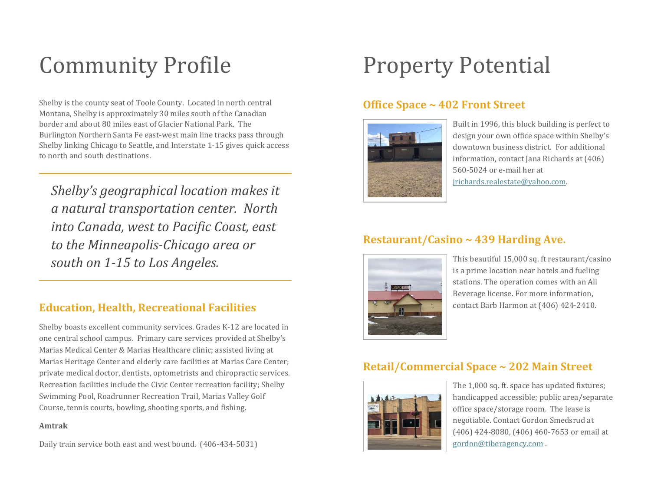# Community Profile

Shelby is the county seat of Toole County. Located in north central Montana, Shelby is approximately 30 miles south of the Canadian border and about 80 miles east of Glacier National Park. The Burlington Northern Santa Fe east-west main line tracks pass through Shelby linking Chicago to Seattle, and Interstate 1-15 gives quick access to north and south destinations.

*Shelby's geographical location makes it a natural transportation center. North into Canada, west to Pacific Coast, east to the Minneapolis-Chicago area or south on 1-15 to Los Angeles.* 

### **Education, Health, Recreational Facilities**

Shelby boasts excellent community services. Grades K-12 are located in one central school campus. Primary care services provided at Shelby's Marias Medical Center & Marias Healthcare clinic; assisted living at Marias Heritage Center and elderly care facilities at Marias Care Center; private medical doctor, dentists, optometrists and chiropractic services. Recreation facilities include the Civic Center recreation facility; Shelby Swimming Pool, Roadrunner Recreation Trail, Marias Valley Golf Course, tennis courts, bowling, shooting sports, and fishing.

#### **Amtrak**

Daily train service both east and west bound. (406-434-5031)

### Property Potential

#### **Office Space ~ 402 Front Street**



Built in 1996, this block building is perfect to design your own office space within Shelby's downtown business district. For additional information, contact Jana Richards at (406) 560-5024 or e-mail her at [jrichards.realestate@yahoo.com.](mailto:jrichards.realestate@yahoo.com)

#### **Restaurant/Casino ~ 439 Harding Ave.**



This beautiful 15,000 sq. ft restaurant/casino is a prime location near hotels and fueling stations. The operation comes with an All Beverage license. For more information, contact Barb Harmon at (406) 424-2410.

#### **Retail/Commercial Space ~ 202 Main Street**



The 1,000 sq. ft. space has updated fixtures; handicapped accessible; public area/separate office space/storage room. The lease is negotiable. Contact Gordon Smedsrud at (406) 424-8080, (406) 460-7653 or email at [gordon@tiberagency.com](mailto:gordon@tiberagency.com) .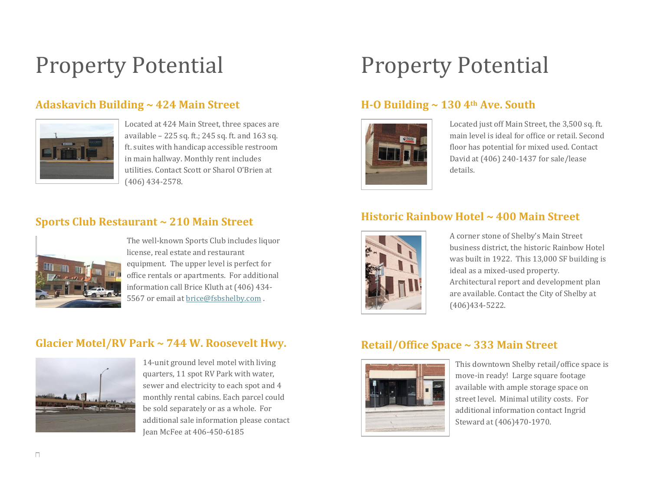## Property Potential

#### **Adaskavich Building ~ 424 Main Street**



Located at 424 Main Street, three spaces are available – 225 sq. ft.; 245 sq. ft. and 163 sq. ft. suites with handicap accessible restroom in main hallway. Monthly rent includes utilities. Contact Scott or Sharol O'Brien at (406) 434-2578.

#### **Sports Club Restaurant ~ 210 Main Street**



The well-known Sports Club includes liquor license, real estate and restaurant equipment. The upper level is perfect for office rentals or apartments. For additional information call Brice Kluth at (406) 434- 5567 or email a[t brice@fsbshelby.com](mailto:brice@fsbshelby.com) .

#### **Glacier Motel/RV Park ~ 744 W. Roosevelt Hwy.**



14-unit ground level motel with living quarters, 11 spot RV Park with water, sewer and electricity to each spot and 4 monthly rental cabins. Each parcel could be sold separately or as a whole. For additional sale information please contact Jean McFee at 406-450-6185

## Property Potential

#### **H-O Building ~ 130 4th Ave. South**



Located just off Main Street, the 3,500 sq. ft. main level is ideal for office or retail. Second floor has potential for mixed used. Contact David at (406) 240-1437 for sale/lease details.

#### **Historic Rainbow Hotel ~ 400 Main Street**



A corner stone of Shelby's Main Street business district, the historic Rainbow Hotel was built in 1922. This 13,000 SF building is ideal as a mixed-used property. Architectural report and development plan are available. Contact the City of Shelby at (406)434-5222.

#### **Retail/Office Space ~ 333 Main Street**



This downtown Shelby retail/office space is move-in ready! Large square footage available with ample storage space on street level. Minimal utility costs. For additional information contact Ingrid Steward at (406)470-1970.